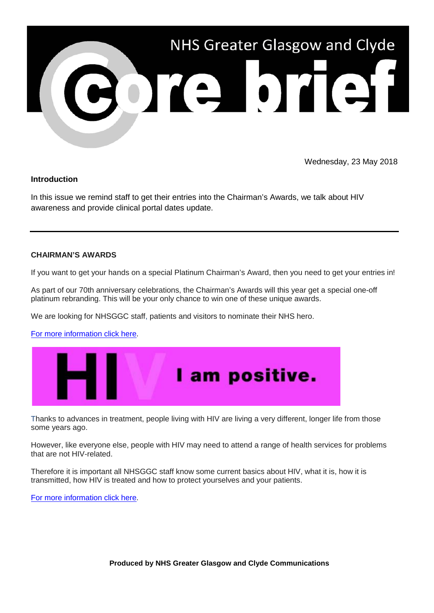

Wednesday, 23 May 2018

## **Introduction**

In this issue we remind staff to get their entries into the Chairman's Awards, we talk about HIV awareness and provide clinical portal dates update.

## **CHAIRMAN'S AWARDS**

If you want to get your hands on a special Platinum Chairman's Award, then you need to get your entries in!

As part of our 70th anniversary celebrations, the Chairman's Awards will this year get a special one-off platinum rebranding. This will be your only chance to win one of these unique awards.

We are looking for NHSGGC staff, patients and visitors to nominate their NHS hero.

[For more information click here.](http://www.nhsggc.org.uk/working-with-us/staff-communications/staff-news/2018/may/stories/your-chance-to-win-this-year-s-unique-award/?utm_source=Core%20Brief&utm_medium=email&utm_campaign=Core%20_Brief_chairmans_awards)



Thanks to advances in treatment, people living with HIV are living a very different, longer life from those some years ago.

However, like everyone else, people with HIV may need to attend a range of health services for problems that are not HIV-related.

Therefore it is important all NHSGGC staff know some current basics about HIV, what it is, how it is transmitted, how HIV is treated and how to protect yourselves and your patients.

[For more information click here.](http://www.nhsggc.org.uk/working-with-us/staff-communications/staff-news/2018/may/stories/know-the-facts/?utm_source=Core%20Brief&utm_medium=email&utm_campaign=Core%20_Brief_HIV)